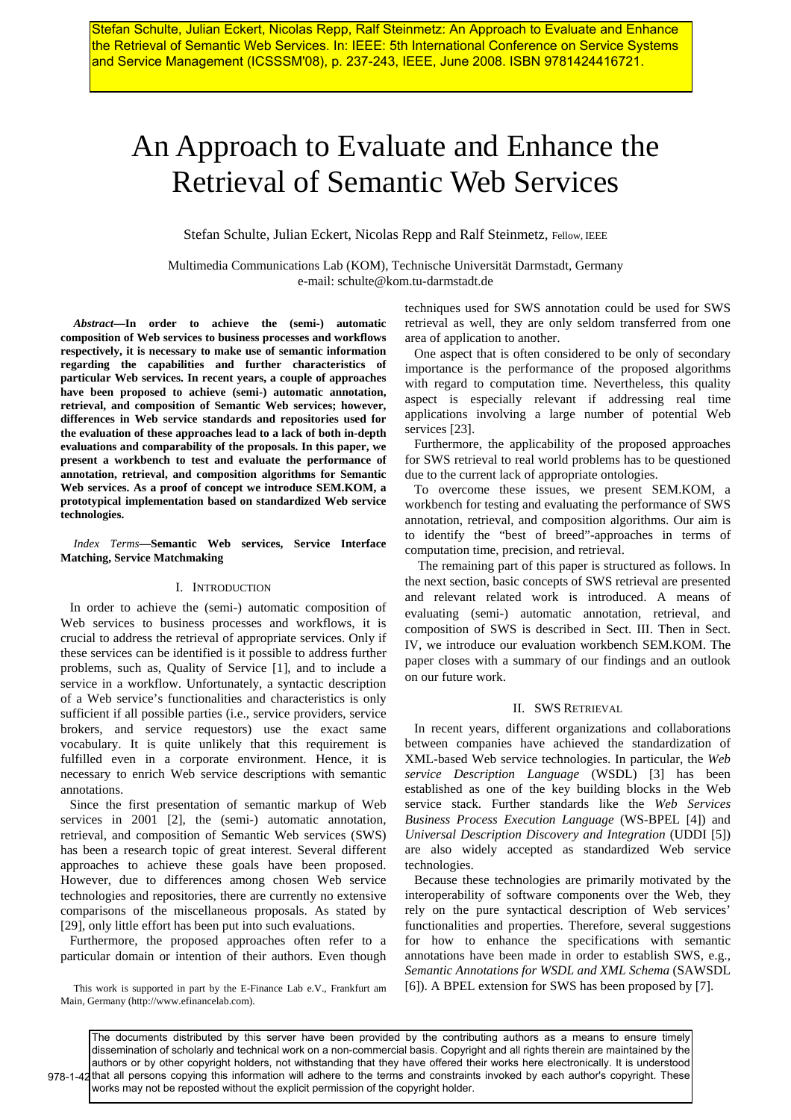# An Approach to Evaluate and Enhance the Retrieval of Semantic Web Services

Stefan Schulte, Julian Eckert, Nicolas Repp and Ralf Steinmetz, Fellow, IEEE

Multimedia Communications Lab (KOM), Technische Universität Darmstadt, Germany e-mail: schulte@kom.tu-darmstadt.de

*Abstract***—In order to achieve the (semi-) automatic composition of Web services to business processes and workflows respectively, it is necessary to make use of semantic information regarding the capabilities and further characteristics of particular Web services. In recent years, a couple of approaches have been proposed to achieve (semi-) automatic annotation, retrieval, and composition of Semantic Web services; however, differences in Web service standards and repositories used for the evaluation of these approaches lead to a lack of both in-depth evaluations and comparability of the proposals. In this paper, we present a workbench to test and evaluate the performance of annotation, retrieval, and composition algorithms for Semantic Web services. As a proof of concept we introduce SEM.KOM, a prototypical implementation based on standardized Web service technologies.** 

*Index Terms***—Semantic Web services, Service Interface Matching, Service Matchmaking** 

#### I. INTRODUCTION

In order to achieve the (semi-) automatic composition of Web services to business processes and workflows, it is crucial to address the retrieval of appropriate services. Only if these services can be identified is it possible to address further problems, such as, Quality of Service [1], and to include a service in a workflow. Unfortunately, a syntactic description of a Web service's functionalities and characteristics is only sufficient if all possible parties (i.e., service providers, service brokers, and service requestors) use the exact same vocabulary. It is quite unlikely that this requirement is fulfilled even in a corporate environment. Hence, it is necessary to enrich Web service descriptions with semantic annotations.

Since the first presentation of semantic markup of Web services in 2001 [2], the (semi-) automatic annotation, retrieval, and composition of Semantic Web services (SWS) has been a research topic of great interest. Several different approaches to achieve these goals have been proposed. However, due to differences among chosen Web service technologies and repositories, there are currently no extensive comparisons of the miscellaneous proposals. As stated by [29], only little effort has been put into such evaluations.

Furthermore, the proposed approaches often refer to a particular domain or intention of their authors. Even though

This work is supported in part by the E-Finance Lab e.V., Frankfurt am Main, Germany (http://www.efinancelab.com).

techniques used for SWS annotation could be used for SWS retrieval as well, they are only seldom transferred from one area of application to another.

One aspect that is often considered to be only of secondary importance is the performance of the proposed algorithms with regard to computation time. Nevertheless, this quality aspect is especially relevant if addressing real time applications involving a large number of potential Web services [23].

Furthermore, the applicability of the proposed approaches for SWS retrieval to real world problems has to be questioned due to the current lack of appropriate ontologies.

To overcome these issues, we present SEM.KOM, a workbench for testing and evaluating the performance of SWS annotation, retrieval, and composition algorithms. Our aim is to identify the "best of breed"-approaches in terms of computation time, precision, and retrieval.

The remaining part of this paper is structured as follows. In the next section, basic concepts of SWS retrieval are presented and relevant related work is introduced. A means of evaluating (semi-) automatic annotation, retrieval, and composition of SWS is described in Sect. III. Then in Sect. IV, we introduce our evaluation workbench SEM.KOM. The paper closes with a summary of our findings and an outlook on our future work.

# II. SWS RETRIEVAL

In recent years, different organizations and collaborations between companies have achieved the standardization of XML-based Web service technologies. In particular, the *Web service Description Language* (WSDL) [3] has been established as one of the key building blocks in the Web service stack. Further standards like the *Web Services Business Process Execution Language* (WS-BPEL [4]) and *Universal Description Discovery and Integration* (UDDI [5]) are also widely accepted as standardized Web service technologies.

Because these technologies are primarily motivated by the interoperability of software components over the Web, they rely on the pure syntactical description of Web services' functionalities and properties. Therefore, several suggestions for how to enhance the specifications with semantic annotations have been made in order to establish SWS, e.g., *Semantic Annotations for WSDL and XML Schema* (SAWSDL [6]). A BPEL extension for SWS has been proposed by [7].

978-1-42that all persons copying this information will adhere to the terms and constraints invoked by each author's copyright. These The documents distributed by this server have been provided by the contributing authors as a means to ensure timely dissemination of scholarly and technical work on a non-commercial basis. Copyright and all rights therein are maintained by the authors or by other copyright holders, not withstanding that they have offered their works here electronically. It is understood works may not be reposted without the explicit permission of the copyright holder.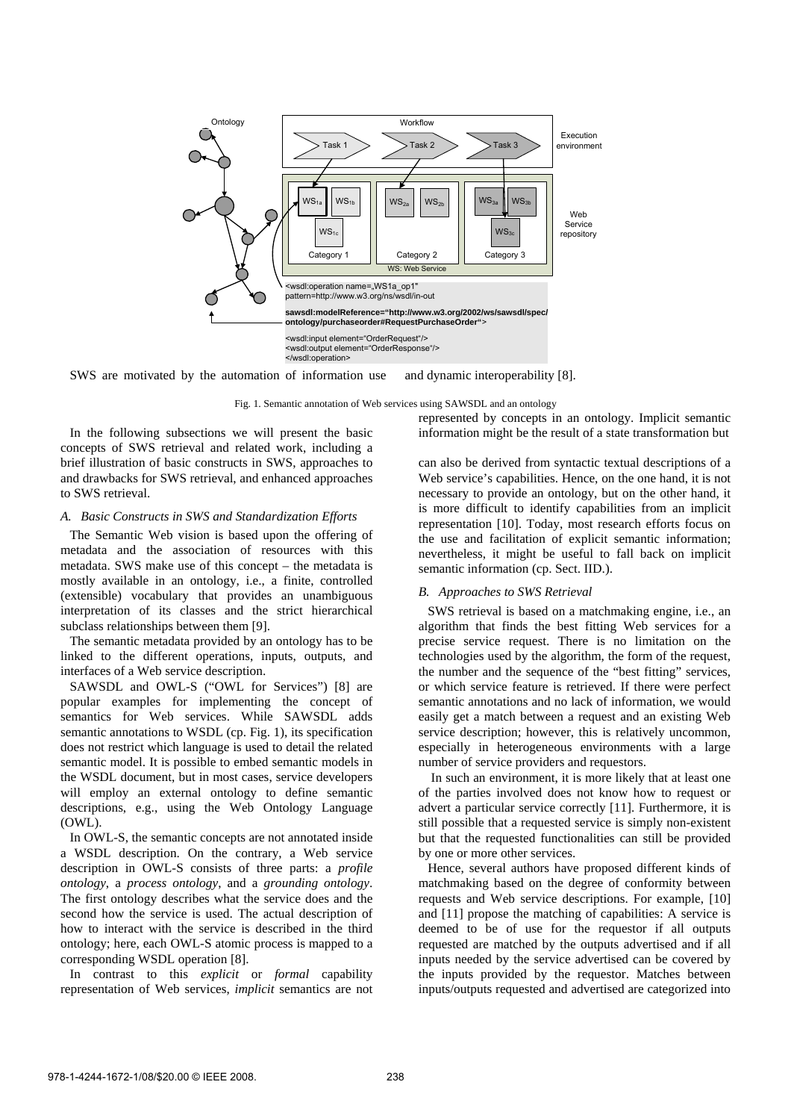

SWS are motivated by the automation of information use and dynamic interoperability [8].

Fig. 1. Semantic annotation of Web services using SAWSDL and an ontology

In the following subsections we will present the basic concepts of SWS retrieval and related work, including a brief illustration of basic constructs in SWS, approaches to and drawbacks for SWS retrieval, and enhanced approaches to SWS retrieval.

# *A. Basic Constructs in SWS and Standardization Efforts*

The Semantic Web vision is based upon the offering of metadata and the association of resources with this metadata. SWS make use of this concept – the metadata is mostly available in an ontology, i.e., a finite, controlled (extensible) vocabulary that provides an unambiguous interpretation of its classes and the strict hierarchical subclass relationships between them [9].

The semantic metadata provided by an ontology has to be linked to the different operations, inputs, outputs, and interfaces of a Web service description.

SAWSDL and OWL-S ("OWL for Services") [8] are popular examples for implementing the concept of semantics for Web services. While SAWSDL adds semantic annotations to WSDL (cp. Fig. 1), its specification does not restrict which language is used to detail the related semantic model. It is possible to embed semantic models in the WSDL document, but in most cases, service developers will employ an external ontology to define semantic descriptions, e.g., using the Web Ontology Language (OWL).

In OWL-S, the semantic concepts are not annotated inside a WSDL description. On the contrary, a Web service description in OWL-S consists of three parts: a *profile ontology*, a *process ontology*, and a *grounding ontology*. The first ontology describes what the service does and the second how the service is used. The actual description of how to interact with the service is described in the third ontology; here, each OWL-S atomic process is mapped to a corresponding WSDL operation [8].

In contrast to this *explicit* or *formal* capability representation of Web services, *implicit* semantics are not represented by concepts in an ontology. Implicit semantic information might be the result of a state transformation but

can also be derived from syntactic textual descriptions of a Web service's capabilities. Hence, on the one hand, it is not necessary to provide an ontology, but on the other hand, it is more difficult to identify capabilities from an implicit representation [10]. Today, most research efforts focus on the use and facilitation of explicit semantic information; nevertheless, it might be useful to fall back on implicit semantic information (cp. Sect. IID.).

# *B. Approaches to SWS Retrieval*

SWS retrieval is based on a matchmaking engine, i.e., an algorithm that finds the best fitting Web services for a precise service request. There is no limitation on the technologies used by the algorithm, the form of the request, the number and the sequence of the "best fitting" services, or which service feature is retrieved. If there were perfect semantic annotations and no lack of information, we would easily get a match between a request and an existing Web service description; however, this is relatively uncommon, especially in heterogeneous environments with a large number of service providers and requestors.

 In such an environment, it is more likely that at least one of the parties involved does not know how to request or advert a particular service correctly [11]. Furthermore, it is still possible that a requested service is simply non-existent but that the requested functionalities can still be provided by one or more other services.

Hence, several authors have proposed different kinds of matchmaking based on the degree of conformity between requests and Web service descriptions. For example, [10] and [11] propose the matching of capabilities: A service is deemed to be of use for the requestor if all outputs requested are matched by the outputs advertised and if all inputs needed by the service advertised can be covered by the inputs provided by the requestor. Matches between inputs/outputs requested and advertised are categorized into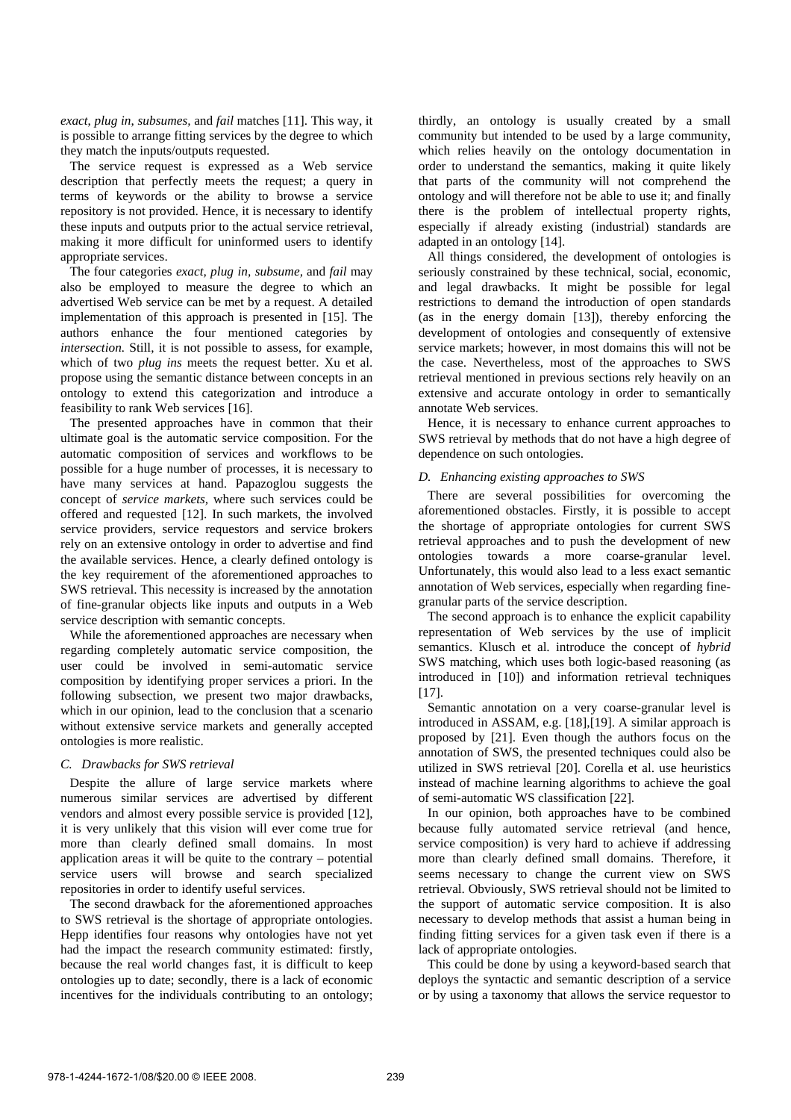*exact*, *plug in*, *subsumes,* and *fail* matches [11]. This way, it is possible to arrange fitting services by the degree to which they match the inputs/outputs requested.

The service request is expressed as a Web service description that perfectly meets the request; a query in terms of keywords or the ability to browse a service repository is not provided. Hence, it is necessary to identify these inputs and outputs prior to the actual service retrieval, making it more difficult for uninformed users to identify appropriate services.

The four categories *exact, plug in, subsume,* and *fail* may also be employed to measure the degree to which an advertised Web service can be met by a request. A detailed implementation of this approach is presented in [15]. The authors enhance the four mentioned categories by *intersection.* Still, it is not possible to assess, for example, which of two *plug ins* meets the request better. Xu et al. propose using the semantic distance between concepts in an ontology to extend this categorization and introduce a feasibility to rank Web services [16].

The presented approaches have in common that their ultimate goal is the automatic service composition. For the automatic composition of services and workflows to be possible for a huge number of processes, it is necessary to have many services at hand. Papazoglou suggests the concept of *service markets,* where such services could be offered and requested [12]. In such markets, the involved service providers, service requestors and service brokers rely on an extensive ontology in order to advertise and find the available services. Hence, a clearly defined ontology is the key requirement of the aforementioned approaches to SWS retrieval. This necessity is increased by the annotation of fine-granular objects like inputs and outputs in a Web service description with semantic concepts.

While the aforementioned approaches are necessary when regarding completely automatic service composition, the user could be involved in semi-automatic service composition by identifying proper services a priori. In the following subsection, we present two major drawbacks, which in our opinion, lead to the conclusion that a scenario without extensive service markets and generally accepted ontologies is more realistic.

# *C. Drawbacks for SWS retrieval*

Despite the allure of large service markets where numerous similar services are advertised by different vendors and almost every possible service is provided [12], it is very unlikely that this vision will ever come true for more than clearly defined small domains. In most application areas it will be quite to the contrary – potential service users will browse and search specialized repositories in order to identify useful services.

The second drawback for the aforementioned approaches to SWS retrieval is the shortage of appropriate ontologies. Hepp identifies four reasons why ontologies have not yet had the impact the research community estimated: firstly, because the real world changes fast, it is difficult to keep ontologies up to date; secondly, there is a lack of economic incentives for the individuals contributing to an ontology;

thirdly, an ontology is usually created by a small community but intended to be used by a large community, which relies heavily on the ontology documentation in order to understand the semantics, making it quite likely that parts of the community will not comprehend the ontology and will therefore not be able to use it; and finally there is the problem of intellectual property rights, especially if already existing (industrial) standards are adapted in an ontology [14].

All things considered, the development of ontologies is seriously constrained by these technical, social, economic, and legal drawbacks. It might be possible for legal restrictions to demand the introduction of open standards (as in the energy domain [13]), thereby enforcing the development of ontologies and consequently of extensive service markets; however, in most domains this will not be the case. Nevertheless, most of the approaches to SWS retrieval mentioned in previous sections rely heavily on an extensive and accurate ontology in order to semantically annotate Web services.

Hence, it is necessary to enhance current approaches to SWS retrieval by methods that do not have a high degree of dependence on such ontologies.

## *D. Enhancing existing approaches to SWS*

There are several possibilities for overcoming the aforementioned obstacles. Firstly, it is possible to accept the shortage of appropriate ontologies for current SWS retrieval approaches and to push the development of new ontologies towards a more coarse-granular level. Unfortunately, this would also lead to a less exact semantic annotation of Web services, especially when regarding finegranular parts of the service description.

The second approach is to enhance the explicit capability representation of Web services by the use of implicit semantics. Klusch et al. introduce the concept of *hybrid*  SWS matching, which uses both logic-based reasoning (as introduced in [10]) and information retrieval techniques [17].

Semantic annotation on a very coarse-granular level is introduced in ASSAM, e.g. [18],[19]. A similar approach is proposed by [21]. Even though the authors focus on the annotation of SWS, the presented techniques could also be utilized in SWS retrieval [20]. Corella et al. use heuristics instead of machine learning algorithms to achieve the goal of semi-automatic WS classification [22].

In our opinion, both approaches have to be combined because fully automated service retrieval (and hence, service composition) is very hard to achieve if addressing more than clearly defined small domains. Therefore, it seems necessary to change the current view on SWS retrieval. Obviously, SWS retrieval should not be limited to the support of automatic service composition. It is also necessary to develop methods that assist a human being in finding fitting services for a given task even if there is a lack of appropriate ontologies.

This could be done by using a keyword-based search that deploys the syntactic and semantic description of a service or by using a taxonomy that allows the service requestor to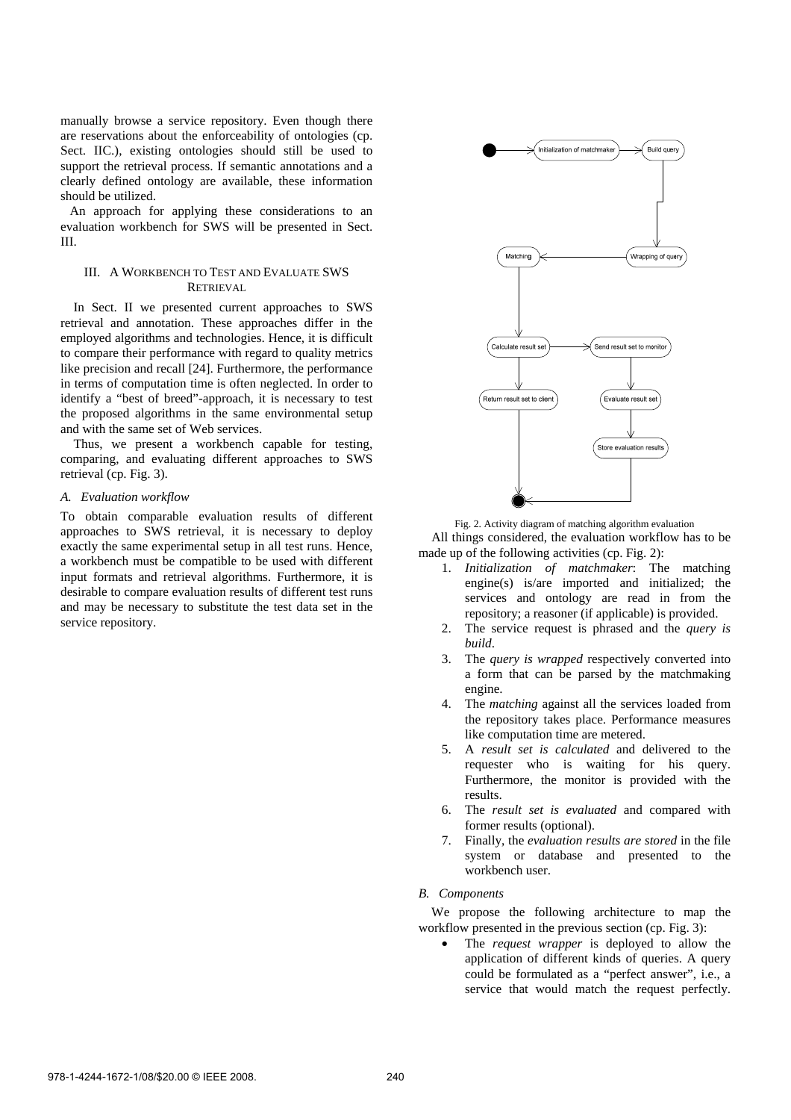manually browse a service repository. Even though there are reservations about the enforceability of ontologies (cp. Sect. IIC.), existing ontologies should still be used to support the retrieval process. If semantic annotations and a clearly defined ontology are available, these information should be utilized.

An approach for applying these considerations to an evaluation workbench for SWS will be presented in Sect. III.

# III. A WORKBENCH TO TEST AND EVALUATE SWS **RETRIEVAL**

In Sect. II we presented current approaches to SWS retrieval and annotation. These approaches differ in the employed algorithms and technologies. Hence, it is difficult to compare their performance with regard to quality metrics like precision and recall [24]. Furthermore, the performance in terms of computation time is often neglected. In order to identify a "best of breed"-approach, it is necessary to test the proposed algorithms in the same environmental setup and with the same set of Web services.

Thus, we present a workbench capable for testing, comparing, and evaluating different approaches to SWS retrieval (cp. Fig. 3).

# *A. Evaluation workflow*

To obtain comparable evaluation results of different approaches to SWS retrieval, it is necessary to deploy exactly the same experimental setup in all test runs. Hence, a workbench must be compatible to be used with different input formats and retrieval algorithms. Furthermore, it is desirable to compare evaluation results of different test runs and may be necessary to substitute the test data set in the service repository.



Fig. 2. Activity diagram of matching algorithm evaluation

 All things considered, the evaluation workflow has to be made up of the following activities (cp. Fig. 2):

- 1. *Initialization of matchmaker*: The matching engine(s) is/are imported and initialized; the services and ontology are read in from the repository; a reasoner (if applicable) is provided.
- 2. The service request is phrased and the *query is build*.
- 3. The *query is wrapped* respectively converted into a form that can be parsed by the matchmaking engine.
- 4. The *matching* against all the services loaded from the repository takes place. Performance measures like computation time are metered.
- 5. A *result set is calculated* and delivered to the requester who is waiting for his query. Furthermore, the monitor is provided with the results.
- 6. The *result set is evaluated* and compared with former results (optional).
- 7. Finally, the *evaluation results are stored* in the file system or database and presented to the workbench user.

# *B. Components*

We propose the following architecture to map the workflow presented in the previous section (cp. Fig. 3):

The *request wrapper* is deployed to allow the application of different kinds of queries. A query could be formulated as a "perfect answer", i.e., a service that would match the request perfectly.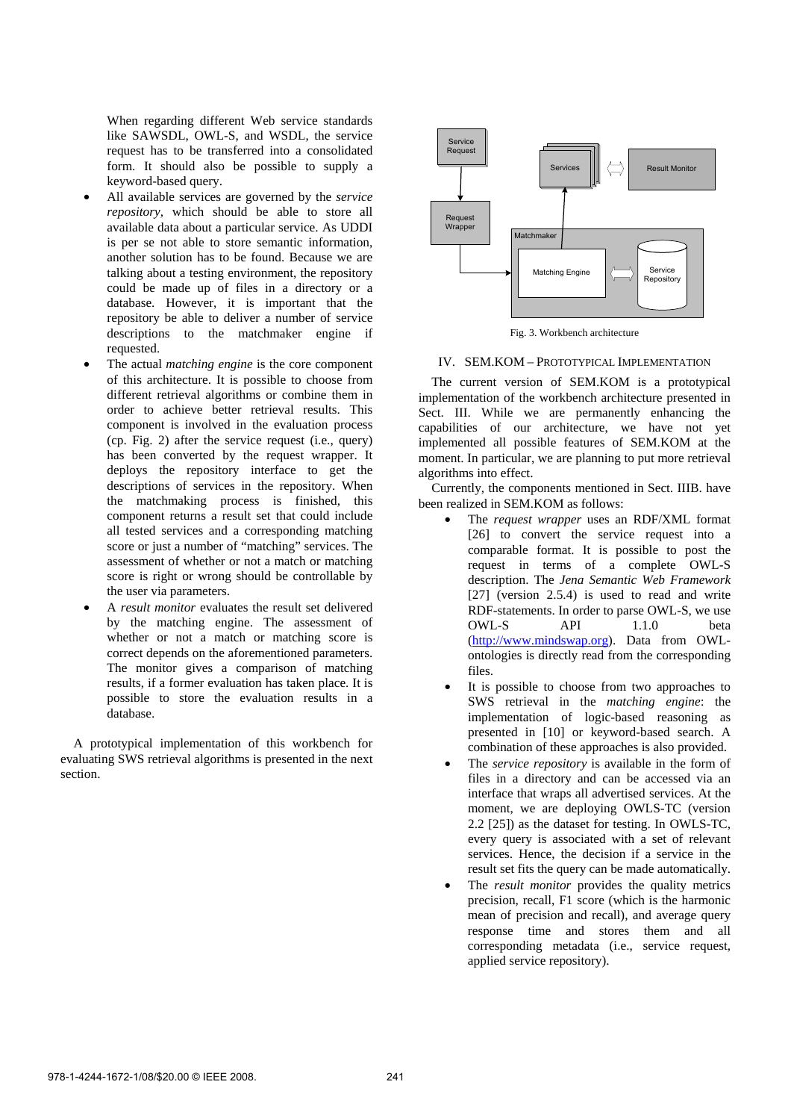When regarding different Web service standards like SAWSDL, OWL-S, and WSDL, the service request has to be transferred into a consolidated form. It should also be possible to supply a keyword-based query.

- All available services are governed by the *service repository,* which should be able to store all available data about a particular service. As UDDI is per se not able to store semantic information, another solution has to be found. Because we are talking about a testing environment, the repository could be made up of files in a directory or a database. However, it is important that the repository be able to deliver a number of service descriptions to the matchmaker engine if requested.
- The actual *matching engine* is the core component of this architecture. It is possible to choose from different retrieval algorithms or combine them in order to achieve better retrieval results. This component is involved in the evaluation process (cp. Fig. 2) after the service request (i.e., query) has been converted by the request wrapper. It deploys the repository interface to get the descriptions of services in the repository. When the matchmaking process is finished, this component returns a result set that could include all tested services and a corresponding matching score or just a number of "matching" services. The assessment of whether or not a match or matching score is right or wrong should be controllable by the user via parameters.
- A *result monitor* evaluates the result set delivered by the matching engine. The assessment of whether or not a match or matching score is correct depends on the aforementioned parameters. The monitor gives a comparison of matching results, if a former evaluation has taken place. It is possible to store the evaluation results in a database.

A prototypical implementation of this workbench for evaluating SWS retrieval algorithms is presented in the next section.



Fig. 3. Workbench architecture

## IV. SEM.KOM – PROTOTYPICAL IMPLEMENTATION

The current version of SEM.KOM is a prototypical implementation of the workbench architecture presented in Sect. III. While we are permanently enhancing the capabilities of our architecture, we have not yet implemented all possible features of SEM.KOM at the moment. In particular, we are planning to put more retrieval algorithms into effect.

Currently, the components mentioned in Sect. IIIB. have been realized in SEM.KOM as follows:

- The *request wrapper* uses an RDF/XML format [26] to convert the service request into a comparable format. It is possible to post the request in terms of a complete OWL-S description. The *Jena Semantic Web Framework* [27] (version 2.5.4) is used to read and write RDF-statements. In order to parse OWL-S, we use OWL-S API 1.1.0 beta (http://www.mindswap.org). Data from OWLontologies is directly read from the corresponding files.
- It is possible to choose from two approaches to SWS retrieval in the *matching engine*: the implementation of logic-based reasoning as presented in [10] or keyword-based search. A combination of these approaches is also provided.
- The *service repository* is available in the form of files in a directory and can be accessed via an interface that wraps all advertised services. At the moment, we are deploying OWLS-TC (version 2.2 [25]) as the dataset for testing. In OWLS-TC, every query is associated with a set of relevant services. Hence, the decision if a service in the result set fits the query can be made automatically.
- The *result monitor* provides the quality metrics precision, recall, F1 score (which is the harmonic mean of precision and recall), and average query response time and stores them and all corresponding metadata (i.e., service request, applied service repository).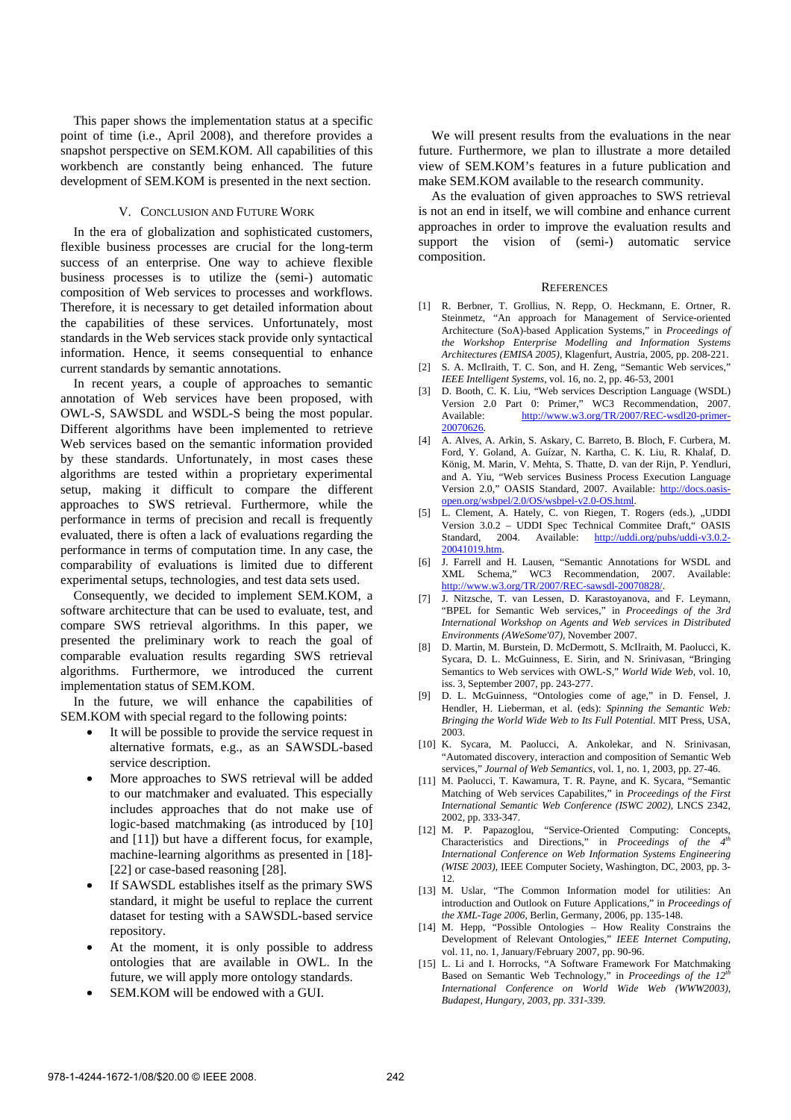This paper shows the implementation status at a specific point of time (i.e., April 2008), and therefore provides a snapshot perspective on SEM.KOM. All capabilities of this workbench are constantly being enhanced. The future development of SEM.KOM is presented in the next section.

# V. CONCLUSION AND FUTURE WORK

In the era of globalization and sophisticated customers, flexible business processes are crucial for the long-term success of an enterprise. One way to achieve flexible business processes is to utilize the (semi-) automatic composition of Web services to processes and workflows. Therefore, it is necessary to get detailed information about the capabilities of these services. Unfortunately, most standards in the Web services stack provide only syntactical information. Hence, it seems consequential to enhance current standards by semantic annotations.

In recent years, a couple of approaches to semantic annotation of Web services have been proposed, with OWL-S, SAWSDL and WSDL-S being the most popular. Different algorithms have been implemented to retrieve Web services based on the semantic information provided by these standards. Unfortunately, in most cases these algorithms are tested within a proprietary experimental setup, making it difficult to compare the different approaches to SWS retrieval. Furthermore, while the performance in terms of precision and recall is frequently evaluated, there is often a lack of evaluations regarding the performance in terms of computation time. In any case, the comparability of evaluations is limited due to different experimental setups, technologies, and test data sets used.

Consequently, we decided to implement SEM.KOM, a software architecture that can be used to evaluate, test, and compare SWS retrieval algorithms. In this paper, we presented the preliminary work to reach the goal of comparable evaluation results regarding SWS retrieval algorithms. Furthermore, we introduced the current implementation status of SEM.KOM.

In the future, we will enhance the capabilities of SEM.KOM with special regard to the following points:

- It will be possible to provide the service request in alternative formats, e.g., as an SAWSDL-based service description.
- More approaches to SWS retrieval will be added to our matchmaker and evaluated. This especially includes approaches that do not make use of logic-based matchmaking (as introduced by [10] and [11]) but have a different focus, for example, machine-learning algorithms as presented in [18]- [22] or case-based reasoning [28].
- If SAWSDL establishes itself as the primary SWS standard, it might be useful to replace the current dataset for testing with a SAWSDL-based service repository.
- At the moment, it is only possible to address ontologies that are available in OWL. In the future, we will apply more ontology standards.
- SEM.KOM will be endowed with a GUI.

We will present results from the evaluations in the near future. Furthermore, we plan to illustrate a more detailed view of SEM.KOM's features in a future publication and make SEM.KOM available to the research community.

As the evaluation of given approaches to SWS retrieval is not an end in itself, we will combine and enhance current approaches in order to improve the evaluation results and support the vision of (semi-) automatic service composition.

#### **REFERENCES**

- [1] R. Berbner, T. Grollius, N. Repp, O. Heckmann, E. Ortner, R. Steinmetz, "An approach for Management of Service-oriented Architecture (SoA)-based Application Systems," in *Proceedings of the Workshop Enterprise Modelling and Information Systems Architectures (EMISA 2005),* Klagenfurt, Austria, 2005, pp. 208-221.
- [2] S. A. McIlraith, T. C. Son, and H. Zeng, "Semantic Web services," *IEEE Intelligent Systems*, vol. 16, no. 2, pp. 46-53, 2001
- [3] D. Booth, C. K. Liu, "Web services Description Language (WSDL) Version 2.0 Part 0: Primer," WC3 Recommendation, 2007. Available: http://www.w3.org/TR/2007/REC-wsdl20-primer-20070626.
- [4] A. Alves, A. Arkin, S. Askary, C. Barreto, B. Bloch, F. Curbera, M. Ford, Y. Goland, A. Guízar, N. Kartha, C. K. Liu, R. Khalaf, D. König, M. Marin, V. Mehta, S. Thatte, D. van der Rijn, P. Yendluri, and A. Yiu, "Web services Business Process Execution Language Version 2.0," OASIS Standard, 2007. Available: http://docs.oasisopen.org/wsbpel/2.0/OS/wsbpel-v2.0-OS.html.
- [5] L. Clement, A. Hately, C. von Riegen, T. Rogers (eds.), "UDDI Version 3.0.2 – UDDI Spec Technical Commitee Draft, " OASIS Standard, 2004. Available: http://uddi.org/pubs/uddi-v3.0.2http://uddi.org/pubs/uddi-v3.0.2-20041019.htm.
- [6] J. Farrell and H. Lausen, "Semantic Annotations for WSDL and XML Schema," WC3 Recommendation, 2007. Available: http://www.w3.org/TR/2007/REC-sawsdl-20070828/.
- [7] J. Nitzsche, T. van Lessen, D. Karastoyanova, and F. Leymann, "BPEL for Semantic Web services," in *Proceedings of the 3rd International Workshop on Agents and Web services in Distributed Environments (AWeSome'07)*, November 2007.
- [8] D. Martin, M. Burstein, D. McDermott, S. McIlraith, M. Paolucci, K. Sycara, D. L. McGuinness, E. Sirin, and N. Srinivasan, "Bringing Semantics to Web services with OWL-S," *World Wide Web*, vol. 10, iss. 3, September 2007, pp. 243-277.
- [9] D. L. McGuinness, "Ontologies come of age," in D. Fensel, J. Hendler, H. Lieberman, et al. (eds): *Spinning the Semantic Web: Bringing the World Wide Web to Its Full Potential*. MIT Press, USA, 2003.
- [10] K. Sycara, M. Paolucci, A. Ankolekar, and N. Srinivasan, "Automated discovery, interaction and composition of Semantic Web services," *Journal of Web Semantics*, vol. 1, no. 1, 2003, pp. 27-46.
- [11] M. Paolucci, T. Kawamura, T. R. Payne, and K. Sycara, "Semantic Matching of Web services Capabilites," in *Proceedings of the First International Semantic Web Conference (ISWC 2002)*, LNCS 2342, 2002, pp. 333-347.
- [12] M. P. Papazoglou, "Service-Oriented Computing: Concepts, Characteristics and Directions," in *Proceedings of the 4th International Conference on Web Information Systems Engineering (WISE 2003),* IEEE Computer Society, Washington, DC, 2003, pp. 3- 12.
- [13] M. Uslar, "The Common Information model for utilities: An introduction and Outlook on Future Applications," in *Proceedings of the XML-Tage 2006*, Berlin, Germany, 2006, pp. 135-148.
- [14] M. Hepp, "Possible Ontologies How Reality Constrains the Development of Relevant Ontologies," *IEEE Internet Computing,*  vol. 11, no. 1, January/February 2007, pp. 90-96.
- [15] L. Li and I. Horrocks, "A Software Framework For Matchmaking Based on Semantic Web Technology," in *Proceedings of the 12<sup><i>t*</sup></sup> *International Conference on World Wide Web (WWW2003), Budapest, Hungary, 2003, pp. 331-339.*